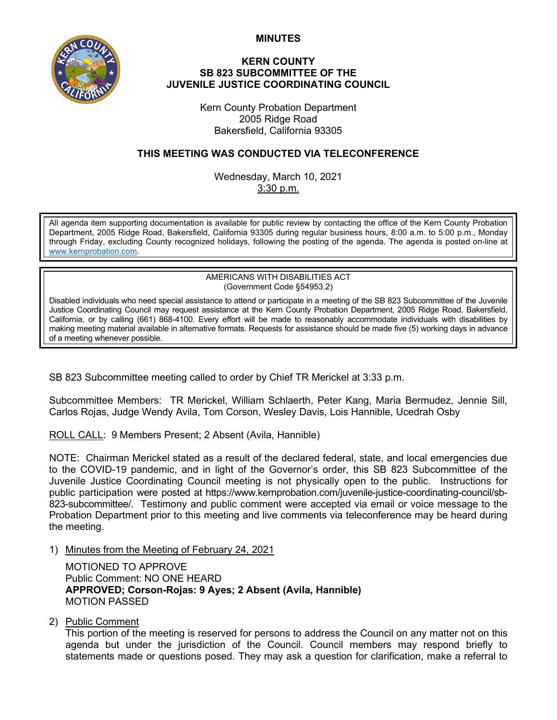**MINUTES**



## **KERN COUNTY SB 823 SUBCOMMITTEE OF THE JUVENILE JUSTICE COORDINATING COUNCIL**

Kern County Probation Department 2005 Ridge Road Bakersfield, California 93305

## **THIS MEETING WAS CONDUCTED VIA TELECONFERENCE**

Wednesday, March 10, 2021 3:30 p.m.

All agenda item supporting documentation is available for public review by contacting the office of the Kern County Probation Department, 2005 Ridge Road, Bakersfield, California 93305 during regular business hours, 8:00 a.m. to 5:00 p.m., Monday through Friday, excluding County recognized holidays, following the posting of the agenda. The agenda is posted on-line at [www.kernprobation.com.](http://www.kernprobation.com/)

> AMERICANS WITH DISABILITIES ACT (Government Code §54953.2)

Disabled individuals who need special assistance to attend or participate in a meeting of the SB 823 Subcommittee of the Juvenile Justice Coordinating Council may request assistance at the Kern County Probation Department, 2005 Ridge Road, Bakersfield, California, or by calling (661) 868-4100. Every effort will be made to reasonably accommodate individuals with disabilities by making meeting material available in alternative formats. Requests for assistance should be made five (5) working days in advance of a meeting whenever possible.

SB 823 Subcommittee meeting called to order by Chief TR Merickel at 3:33 p.m.

Subcommittee Members: TR Merickel, William Schlaerth, Peter Kang, Maria Bermudez, Jennie Sill, Carlos Rojas, Judge Wendy Avila, Tom Corson, Wesley Davis, Lois Hannible, Ucedrah Osby

ROLL CALL: 9 Members Present; 2 Absent (Avila, Hannible)

NOTE: Chairman Merickel stated as a result of the declared federal, state, and local emergencies due to the COVID-19 pandemic, and in light of the Governor's order, this SB 823 Subcommittee of the Juvenile Justice Coordinating Council meeting is not physically open to the public. Instructions for public participation were posted at https://www.kernprobation.com/juvenile-justice-coordinating-council/sb-823-subcommittee/. Testimony and public comment were accepted via email or voice message to the Probation Department prior to this meeting and live comments via teleconference may be heard during the meeting.

1) Minutes from the Meeting of February 24, 2021

MOTIONED TO APPROVE Public Comment: NO ONE HEARD **APPROVED; Corson-Rojas: 9 Ayes; 2 Absent (Avila, Hannible)** MOTION PASSED

2) Public Comment

This portion of the meeting is reserved for persons to address the Council on any matter not on this agenda but under the jurisdiction of the Council. Council members may respond briefly to statements made or questions posed. They may ask a question for clarification, make a referral to